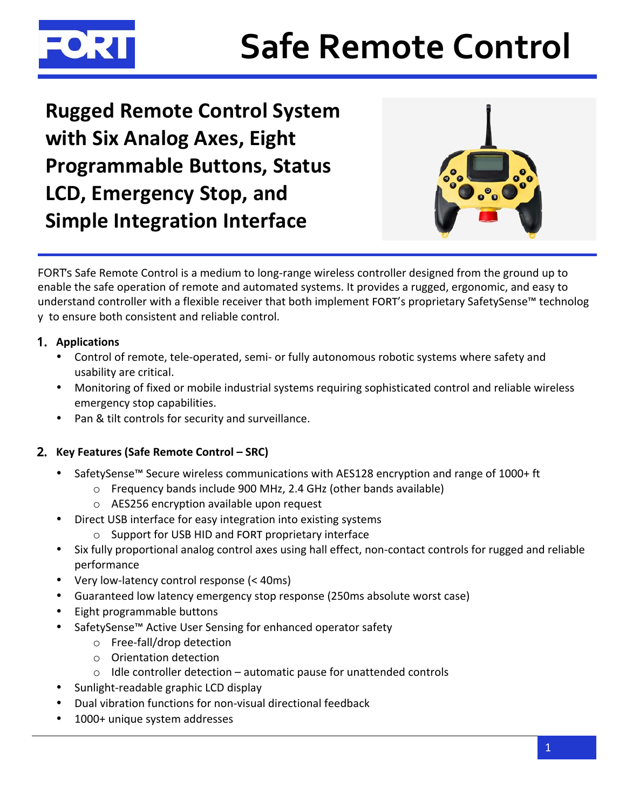

# **Safe Remote Control**

**Rugged Remote Control System** with Six Analog Axes, Eight **Programmable Buttons, Status LCD, Emergency Stop, and Simple Integration Interface** 



FORT's Safe Remote Control is a medium to long-range wireless controller designed from the ground up to enable the safe operation of remote and automated systems. It provides a rugged, ergonomic, and easy to understand controller with a flexible receiver that both implement FORT's proprietary SafetySense™ technolog y to ensure both consistent and reliable control.

# 1. Applications

- Control of remote, tele-operated, semi- or fully autonomous robotic systems where safety and usability are critical.
- Monitoring of fixed or mobile industrial systems requiring sophisticated control and reliable wireless emergency stop capabilities.
- Pan & tilt controls for security and surveillance.

# 2. Key Features (Safe Remote Control - SRC)

- SafetySense<sup>™</sup> Secure wireless communications with AES128 encryption and range of 1000+ ft
	- o Frequency bands include 900 MHz, 2.4 GHz (other bands available)
	- o AES256 encryption available upon request
- Direct USB interface for easy integration into existing systems  $\bullet$ 
	- Support for USB HID and FORT proprietary interface
- Six fully proportional analog control axes using hall effect, non-contact controls for rugged and reliable  $\bullet$ performance
- Very low-latency control response (< 40ms)
- Guaranteed low latency emergency stop response (250ms absolute worst case)
- Eight programmable buttons
- SafetySense™ Active User Sensing for enhanced operator safety
	- o Free-fall/drop detection
	- o Orientation detection
	- $\circ$  Idle controller detection automatic pause for unattended controls
- Sunlight-readable graphic LCD display
- Dual vibration functions for non-visual directional feedback
- 1000+ unique system addresses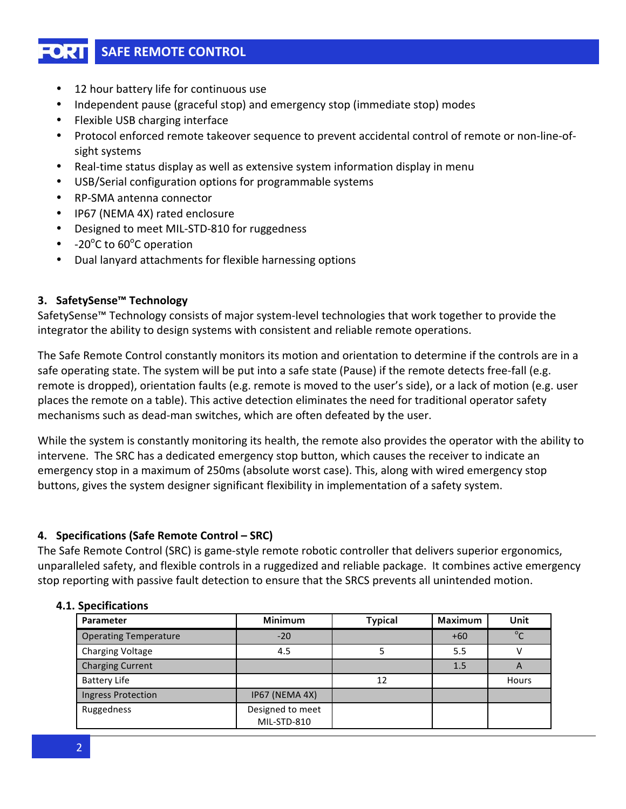# **SAFE REMOTE CONTROL**

- 12 hour battery life for continuous use
- Independent pause (graceful stop) and emergency stop (immediate stop) modes  $\bullet$
- Flexible USB charging interface
- Protocol enforced remote takeover sequence to prevent accidental control of remote or non-line-ofsight systems
- Real-time status display as well as extensive system information display in menu
- USB/Serial configuration options for programmable systems
- RP-SMA antenna connector
- IP67 (NEMA 4X) rated enclosure
- Designed to meet MIL-STD-810 for ruggedness
- $-20^{\circ}$ C to 60 $^{\circ}$ C operation
- Dual lanyard attachments for flexible harnessing options

#### 3. SafetySense<sup>™</sup> Technology

SafetySense<sup>™</sup> Technology consists of major system-level technologies that work together to provide the integrator the ability to design systems with consistent and reliable remote operations.

The Safe Remote Control constantly monitors its motion and orientation to determine if the controls are in a safe operating state. The system will be put into a safe state (Pause) if the remote detects free-fall (e.g. remote is dropped), orientation faults (e.g. remote is moved to the user's side), or a lack of motion (e.g. user places the remote on a table). This active detection eliminates the need for traditional operator safety mechanisms such as dead-man switches, which are often defeated by the user.

While the system is constantly monitoring its health, the remote also provides the operator with the ability to intervene. The SRC has a dedicated emergency stop button, which causes the receiver to indicate an emergency stop in a maximum of 250ms (absolute worst case). This, along with wired emergency stop buttons, gives the system designer significant flexibility in implementation of a safety system.

#### 4. Specifications (Safe Remote Control – SRC)

The Safe Remote Control (SRC) is game-style remote robotic controller that delivers superior ergonomics, unparalleled safety, and flexible controls in a ruggedized and reliable package. It combines active emergency stop reporting with passive fault detection to ensure that the SRCS prevents all unintended motion.

#### 4.1. Specifications

| Parameter                    | Minimum                         | <b>Typical</b> | Maximum | Unit        |
|------------------------------|---------------------------------|----------------|---------|-------------|
| <b>Operating Temperature</b> | $-20$                           |                | $+60$   | $0^{\circ}$ |
| <b>Charging Voltage</b>      | 4.5                             |                | 5.5     |             |
| <b>Charging Current</b>      |                                 |                | 1.5     | А           |
| <b>Battery Life</b>          |                                 | 12             |         | Hours       |
| <b>Ingress Protection</b>    | IP67 (NEMA 4X)                  |                |         |             |
| Ruggedness                   | Designed to meet<br>MIL-STD-810 |                |         |             |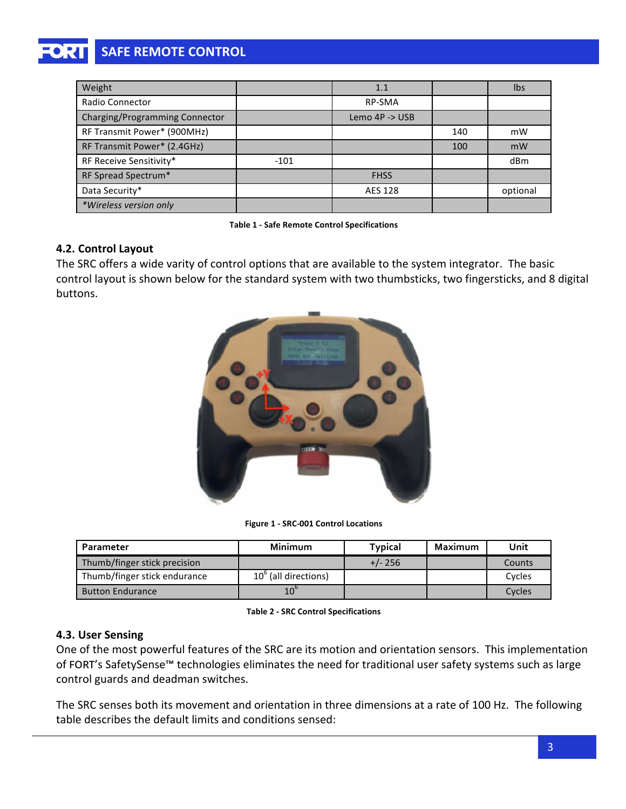# **SAFE REMOTE CONTROL**

| Weight                         |        | 1.1                       |     | <b>lbs</b> |
|--------------------------------|--------|---------------------------|-----|------------|
| <b>Radio Connector</b>         |        | <b>RP-SMA</b>             |     |            |
| Charging/Programming Connector |        | Lemo $4P \rightarrow USB$ |     |            |
| RF Transmit Power* (900MHz)    |        |                           | 140 | mW         |
| RF Transmit Power* (2.4GHz)    |        |                           | 100 | mW         |
| RF Receive Sensitivity*        | $-101$ |                           |     | dBm        |
| RF Spread Spectrum*            |        | <b>FHSS</b>               |     |            |
| Data Security*                 |        | <b>AES 128</b>            |     | optional   |
| *Wireless version only         |        |                           |     |            |

Table 1 - Safe Remote Control Specifications

#### **4.2. Control-Layout**

The SRC offers a wide varity of control options that are available to the system integrator. The basic control layout is shown below for the standard system with two thumbsticks, two fingersticks, and 8 digital buttons.



**Figure 1 - SRC-001 Control Locations** 

| Parameter                    | <b>Minimum</b>       | <b>Typical</b> | Maximum | Unit   |
|------------------------------|----------------------|----------------|---------|--------|
| Thumb/finger stick precision |                      | $+/- 256$      |         | Counts |
| Thumb/finger stick endurance | 10° (all directions) |                |         | Cycles |
| <b>Button Endurance</b>      | $10^{\circ}$         |                |         | Cycles |

**Table 2 - SRC Control Specifications** 

#### **4.3. User-Sensing**

One of the most powerful features of the SRC are its motion and orientation sensors. This implementation of FORT's SafetySense™ technologies eliminates the need for traditional user safety systems such as large control guards and deadman switches.

The SRC senses both its movement and orientation in three dimensions at a rate of 100 Hz. The following table describes the default limits and conditions sensed: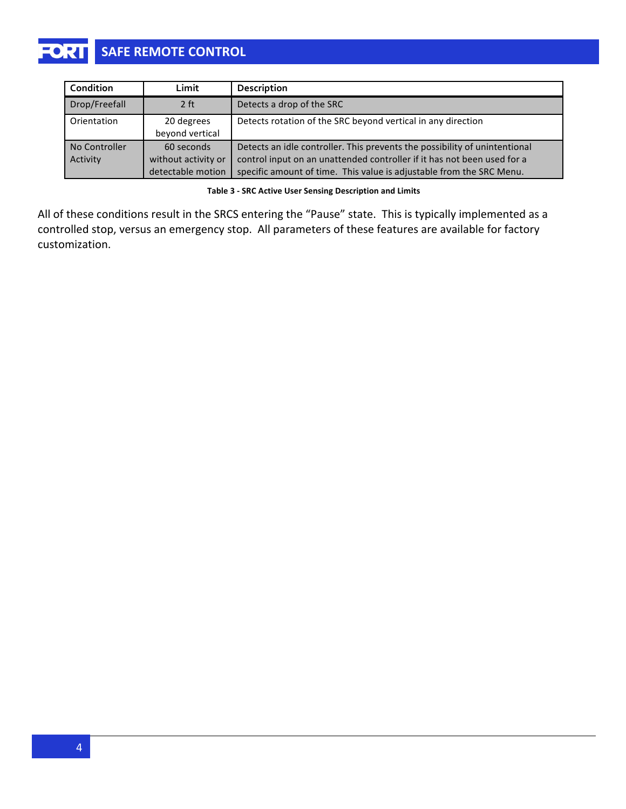| Condition     | Limit               | Description                                                                |
|---------------|---------------------|----------------------------------------------------------------------------|
| Drop/Freefall | 2 <sub>ft</sub>     | Detects a drop of the SRC                                                  |
| Orientation   | 20 degrees          | Detects rotation of the SRC beyond vertical in any direction               |
|               | beyond vertical     |                                                                            |
| No Controller | 60 seconds          | Detects an idle controller. This prevents the possibility of unintentional |
| Activity      | without activity or | control input on an unattended controller if it has not been used for a    |
|               | detectable motion   | specific amount of time. This value is adjustable from the SRC Menu.       |

Table 3 - SRC Active User Sensing Description and Limits

All of these conditions result in the SRCS entering the "Pause" state. This is typically implemented as a controlled stop, versus an emergency stop. All parameters of these features are available for factory customization.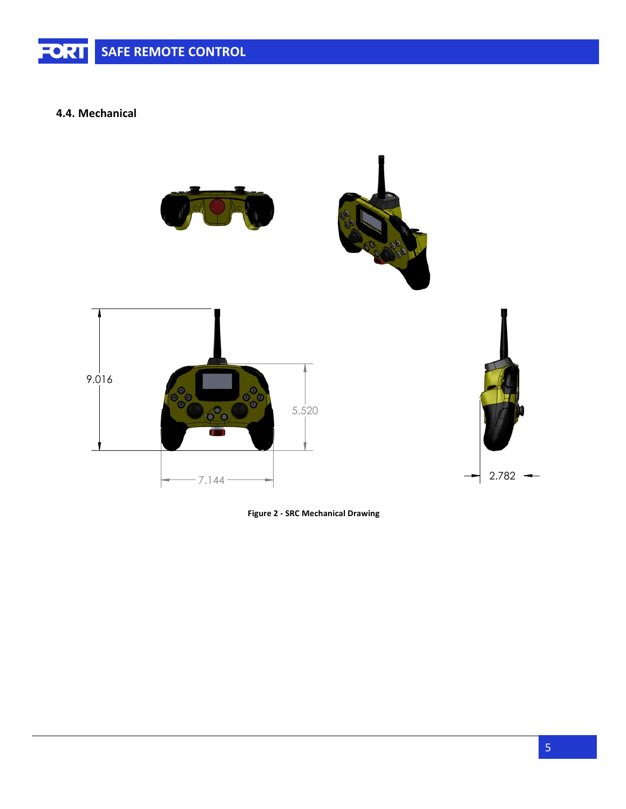#### **4.4. Mechanical-**



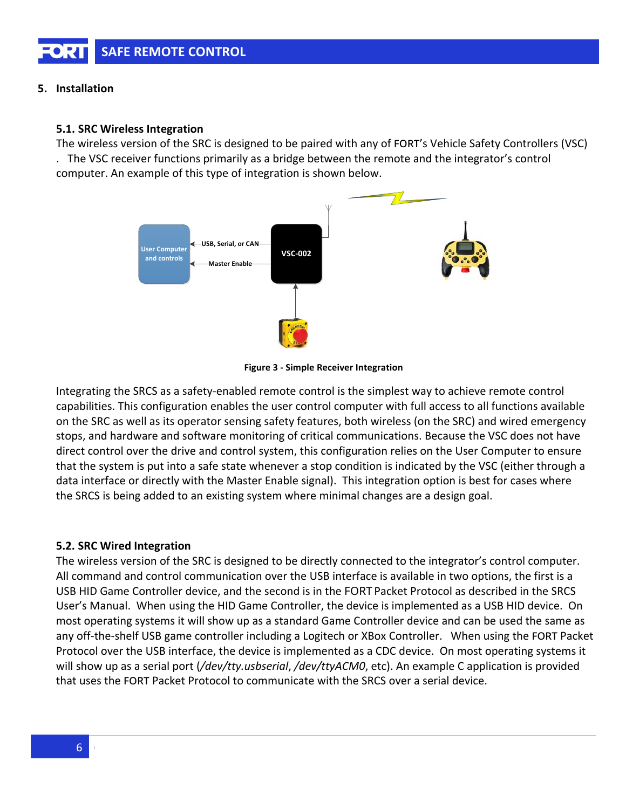#### 5. Installation

#### 5.1. SRC Wireless Integration

The wireless version of the SRC is designed to be paired with any of FORT's Vehicle Safety Controllers (VSC)

. The VSC receiver functions primarily as a bridge between the remote and the integrator's control computer. An example of this type of integration is shown below.



**Figure 3 - Simple Receiver Integration** 

Integrating the SRCS as a safety-enabled remote control is the simplest way to achieve remote control capabilities. This configuration enables the user control computer with full access to all functions available on the SRC as well as its operator sensing safety features, both wireless (on the SRC) and wired emergency stops, and hardware and software monitoring of critical communications. Because the VSC does not have direct control over the drive and control system, this configuration relies on the User Computer to ensure that the system is put into a safe state whenever a stop condition is indicated by the VSC (either through a data interface or directly with the Master Enable signal). This integration option is best for cases where the SRCS is being added to an existing system where minimal changes are a design goal.

### 5.2. SRC Wired Integration

The wireless version of the SRC is designed to be directly connected to the integrator's control computer. All command and control communication over the USB interface is available in two options, the first is a USB HID Game Controller device, and the second is in the FORT Packet Protocol as described in the SRCS User's Manual. When using the HID Game Controller, the device is implemented as a USB HID device. On most operating systems it will show up as a standard Game Controller device and can be used the same as any off-the-shelf USB game controller including a Logitech or XBox Controller. When using the FORT Packet Protocol over the USB interface, the device is implemented as a CDC device. On most operating systems it will show up as a serial port (/dev/tty.usbserial, /dev/ttyACM0, etc). An example C application is provided that uses the FORT Packet Protocol to communicate with the SRCS over a serial device.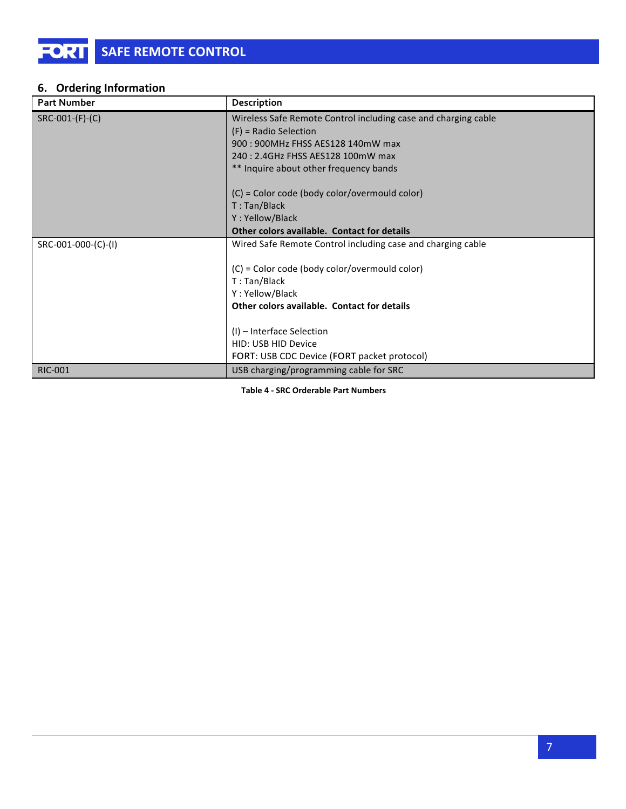## **6.** Ordering Information

| <b>Part Number</b>        | Description                                                    |
|---------------------------|----------------------------------------------------------------|
| $SRC$ -001- $(F)$ - $(C)$ | Wireless Safe Remote Control including case and charging cable |
|                           | $(F)$ = Radio Selection                                        |
|                           | 900 : 900 MHz FHSS AES 128 140 mW max                          |
|                           | 240 : 2.4GHz FHSS AES128 100mW max                             |
|                           | ** Inquire about other frequency bands                         |
|                           | (C) = Color code (body color/overmould color)                  |
|                           | T: Tan/Black                                                   |
|                           | Y: Yellow/Black                                                |
|                           | Other colors available. Contact for details                    |
| SRC-001-000-(C)-(I)       | Wired Safe Remote Control including case and charging cable    |
|                           |                                                                |
|                           | (C) = Color code (body color/overmould color)                  |
|                           | T: Tan/Black                                                   |
|                           | Y: Yellow/Black                                                |
|                           | Other colors available. Contact for details                    |
|                           |                                                                |
|                           | $(I)$ – Interface Selection                                    |
|                           | HID: USB HID Device                                            |
|                           | FORT: USB CDC Device (FORT packet protocol)                    |
| <b>RIC-001</b>            | USB charging/programming cable for SRC                         |

**Table 4 - SRC Orderable Part Numbers**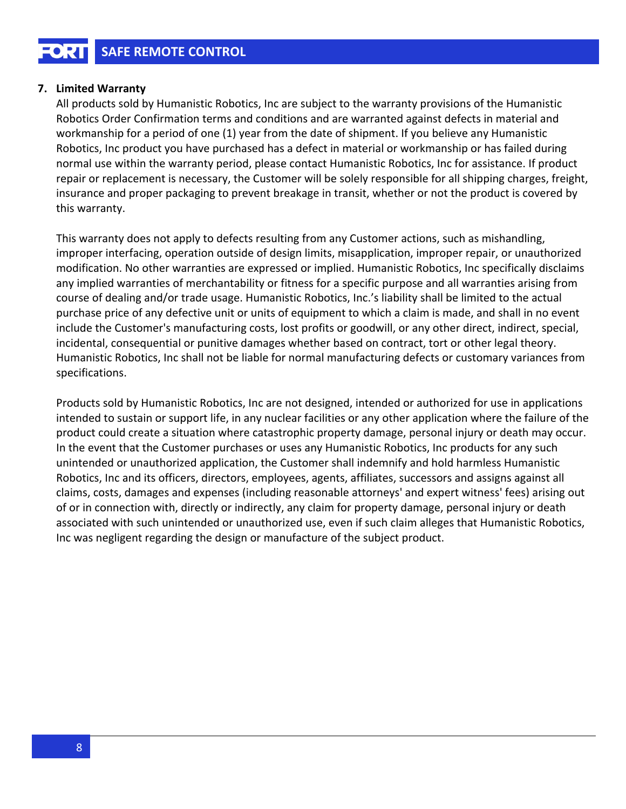#### 7. Limited Warranty

All products sold by Humanistic Robotics, Inc are subject to the warranty provisions of the Humanistic Robotics Order Confirmation terms and conditions and are warranted against defects in material and workmanship for a period of one (1) year from the date of shipment. If you believe any Humanistic Robotics, Inc product you have purchased has a defect in material or workmanship or has failed during normal use within the warranty period, please contact Humanistic Robotics, Inc for assistance. If product repair or replacement is necessary, the Customer will be solely responsible for all shipping charges, freight, insurance and proper packaging to prevent breakage in transit, whether or not the product is covered by this warranty.

This warranty does not apply to defects resulting from any Customer actions, such as mishandling, improper interfacing, operation outside of design limits, misapplication, improper repair, or unauthorized modification. No other warranties are expressed or implied. Humanistic Robotics, Inc specifically disclaims any implied warranties of merchantability or fitness for a specific purpose and all warranties arising from course of dealing and/or trade usage. Humanistic Robotics, Inc.'s liability shall be limited to the actual purchase price of any defective unit or units of equipment to which a claim is made, and shall in no event include the Customer's manufacturing costs, lost profits or goodwill, or any other direct, indirect, special, incidental, consequential or punitive damages whether based on contract, tort or other legal theory. Humanistic Robotics, Inc shall not be liable for normal manufacturing defects or customary variances from specifications.

Products sold by Humanistic Robotics, Inc are not designed, intended or authorized for use in applications intended to sustain or support life, in any nuclear facilities or any other application where the failure of the product could create a situation where catastrophic property damage, personal injury or death may occur. In the event that the Customer purchases or uses any Humanistic Robotics, Inc products for any such unintended or unauthorized application, the Customer shall indemnify and hold harmless Humanistic Robotics, Inc and its officers, directors, employees, agents, affiliates, successors and assigns against all claims, costs, damages and expenses (including reasonable attorneys' and expert witness' fees) arising out of or in connection with, directly or indirectly, any claim for property damage, personal injury or death associated with such unintended or unauthorized use, even if such claim alleges that Humanistic Robotics, Inc was negligent regarding the design or manufacture of the subject product.